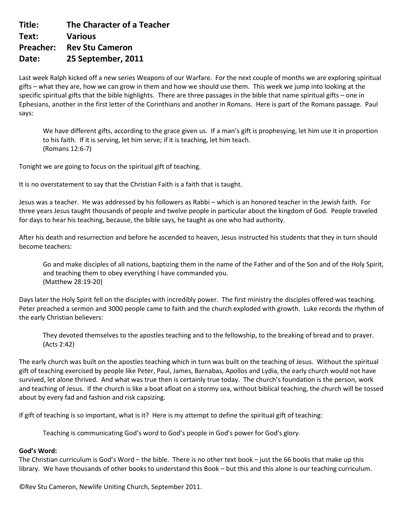**Title: The Character of a Teacher Text: Various Preacher: Rev Stu Cameron Date: 25 September, 2011**

Last week Ralph kicked off a new series Weapons of our Warfare. For the next couple of months we are exploring spiritual gifts – what they are, how we can grow in them and how we should use them. This week we jump into looking at the specific spiritual gifts that the bible highlights. There are three passages in the bible that name spiritual gifts – one in Ephesians, another in the first letter of the Corinthians and another in Romans. Here is part of the Romans passage. Paul says:

We have different gifts, according to the grace given us. If a man's gift is prophesying, let him use it in proportion to his faith. If it is serving, let him serve; if it is teaching, let him teach. (Romans 12:6-7)

Tonight we are going to focus on the spiritual gift of teaching.

It is no overstatement to say that the Christian Faith is a faith that is taught.

Jesus was a teacher. He was addressed by his followers as Rabbi – which is an honored teacher in the Jewish faith. For three years Jesus taught thousands of people and twelve people in particular about the kingdom of God. People traveled for days to hear his teaching, because, the bible says, he taught as one who had authority.

After his death and resurrection and before he ascended to heaven, Jesus instructed his students that they in turn should become teachers:

Go and make disciples of all nations, baptizing them in the name of the Father and of the Son and of the Holy Spirit, and teaching them to obey everything I have commanded you. (Matthew 28:19-20)

Days later the Holy Spirit fell on the disciples with incredibly power. The first ministry the disciples offered was teaching. Peter preached a sermon and 3000 people came to faith and the church exploded with growth. Luke records the rhythm of the early Christian believers:

They devoted themselves to the apostles teaching and to the fellowship, to the breaking of bread and to prayer. (Acts 2:42)

The early church was built on the apostles teaching which in turn was built on the teaching of Jesus. Without the spiritual gift of teaching exercised by people like Peter, Paul, James, Barnabas, Apollos and Lydia, the early church would not have survived, let alone thrived. And what was true then is certainly true today. The church's foundation is the person, work and teaching of Jesus. If the church is like a boat afloat on a stormy sea, without biblical teaching, the church will be tossed about by every fad and fashion and risk capsizing.

If gift of teaching is so important, what is it? Here is my attempt to define the spiritual gift of teaching:

Teaching is communicating God's word to God's people in God's power for God's glory.

### **God's Word:**

The Christian curriculum is God's Word – the bible. There is no other text book – just the 66 books that make up this library. We have thousands of other books to understand this Book – but this and this alone is our teaching curriculum.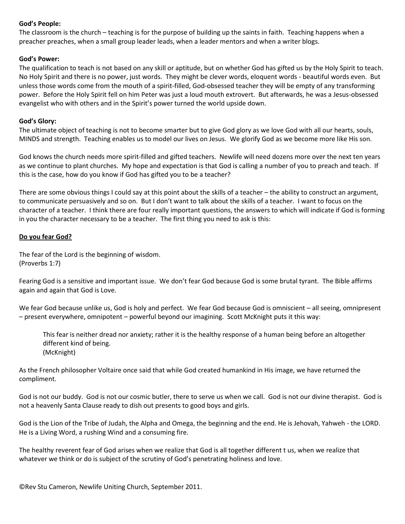# **God's People:**

The classroom is the church – teaching is for the purpose of building up the saints in faith. Teaching happens when a preacher preaches, when a small group leader leads, when a leader mentors and when a writer blogs.

### **God's Power:**

The qualification to teach is not based on any skill or aptitude, but on whether God has gifted us by the Holy Spirit to teach. No Holy Spirit and there is no power, just words. They might be clever words, eloquent words - beautiful words even. But unless those words come from the mouth of a spirit-filled, God-obsessed teacher they will be empty of any transforming power. Before the Holy Spirit fell on him Peter was just a loud mouth extrovert. But afterwards, he was a Jesus-obsessed evangelist who with others and in the Spirit's power turned the world upside down.

## **God's Glory:**

The ultimate object of teaching is not to become smarter but to give God glory as we love God with all our hearts, souls, MINDS and strength. Teaching enables us to model our lives on Jesus. We glorify God as we become more like His son.

God knows the church needs more spirit-filled and gifted teachers. Newlife will need dozens more over the next ten years as we continue to plant churches. My hope and expectation is that God is calling a number of you to preach and teach. If this is the case, how do you know if God has gifted you to be a teacher?

There are some obvious things I could say at this point about the skills of a teacher – the ability to construct an argument, to communicate persuasively and so on. But I don't want to talk about the skills of a teacher. I want to focus on the character of a teacher. I think there are four really important questions, the answers to which will indicate if God is forming in you the character necessary to be a teacher. The first thing you need to ask is this:

# **Do you fear God?**

The fear of the Lord is the beginning of wisdom. (Proverbs 1:7)

Fearing God is a sensitive and important issue. We don't fear God because God is some brutal tyrant. The Bible affirms again and again that God is Love.

We fear God because unlike us, God is holy and perfect. We fear God because God is omniscient – all seeing, omnipresent – present everywhere, omnipotent – powerful beyond our imagining. Scott McKnight puts it this way:

This fear is neither dread nor anxiety; rather it is the healthy response of a human being before an altogether different kind of being. (McKnight)

As the French philosopher Voltaire once said that while God created humankind in His image, we have returned the compliment.

God is not our buddy. God is not our cosmic butler, there to serve us when we call. God is not our divine therapist. God is not a heavenly Santa Clause ready to dish out presents to good boys and girls.

God is the Lion of the Tribe of Judah, the Alpha and Omega, the beginning and the end. He is Jehovah, Yahweh - the LORD. He is a Living Word, a rushing Wind and a consuming fire.

The healthy reverent fear of God arises when we realize that God is all together different t us, when we realize that whatever we think or do is subject of the scrutiny of God's penetrating holiness and love.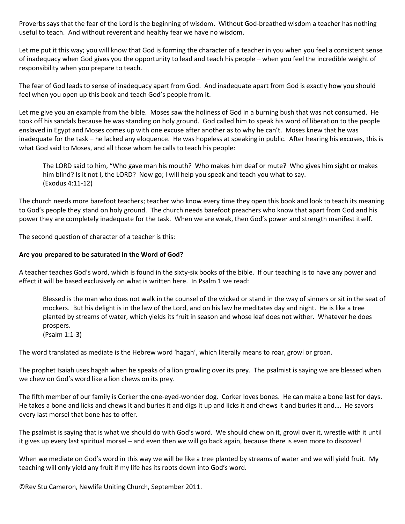Proverbs says that the fear of the Lord is the beginning of wisdom. Without God-breathed wisdom a teacher has nothing useful to teach. And without reverent and healthy fear we have no wisdom.

Let me put it this way; you will know that God is forming the character of a teacher in you when you feel a consistent sense of inadequacy when God gives you the opportunity to lead and teach his people – when you feel the incredible weight of responsibility when you prepare to teach.

The fear of God leads to sense of inadequacy apart from God. And inadequate apart from God is exactly how you should feel when you open up this book and teach God's people from it.

Let me give you an example from the bible. Moses saw the holiness of God in a burning bush that was not consumed. He took off his sandals because he was standing on holy ground. God called him to speak his word of liberation to the people enslaved in Egypt and Moses comes up with one excuse after another as to why he can't. Moses knew that he was inadequate for the task – he lacked any eloquence. He was hopeless at speaking in public. After hearing his excuses, this is what God said to Moses, and all those whom he calls to teach his people:

The LORD said to him, "Who gave man his mouth? Who makes him deaf or mute? Who gives him sight or makes him blind? Is it not I, the LORD? Now go; I will help you speak and teach you what to say. (Exodus 4:11-12)

The church needs more barefoot teachers; teacher who know every time they open this book and look to teach its meaning to God's people they stand on holy ground. The church needs barefoot preachers who know that apart from God and his power they are completely inadequate for the task. When we are weak, then God's power and strength manifest itself.

The second question of character of a teacher is this:

### **Are you prepared to be saturated in the Word of God?**

A teacher teaches God's word, which is found in the sixty-six books of the bible. If our teaching is to have any power and effect it will be based exclusively on what is written here. In Psalm 1 we read:

Blessed is the man who does not walk in the counsel of the wicked or stand in the way of sinners or sit in the seat of mockers. But his delight is in the law of the Lord, and on his law he meditates day and night. He is like a tree planted by streams of water, which yields its fruit in season and whose leaf does not wither. Whatever he does prospers. (Psalm 1:1-3)

The word translated as mediate is the Hebrew word 'hagah', which literally means to roar, growl or groan.

The prophet Isaiah uses hagah when he speaks of a lion growling over its prey. The psalmist is saying we are blessed when we chew on God's word like a lion chews on its prey.

The fifth member of our family is Corker the one-eyed-wonder dog. Corker loves bones. He can make a bone last for days. He takes a bone and licks and chews it and buries it and digs it up and licks it and chews it and buries it and…. He savors every last morsel that bone has to offer.

The psalmist is saying that is what we should do with God's word. We should chew on it, growl over it, wrestle with it until it gives up every last spiritual morsel – and even then we will go back again, because there is even more to discover!

When we mediate on God's word in this way we will be like a tree planted by streams of water and we will yield fruit. My teaching will only yield any fruit if my life has its roots down into God's word.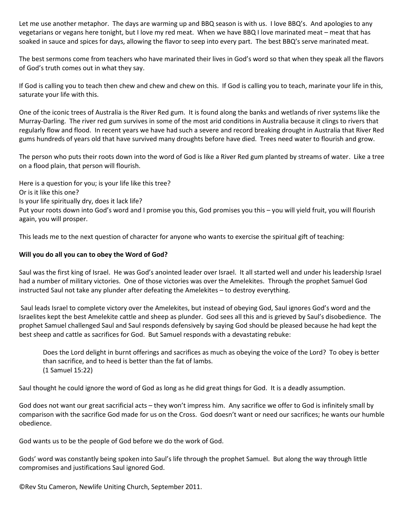Let me use another metaphor. The days are warming up and BBQ season is with us. I love BBQ's. And apologies to any vegetarians or vegans here tonight, but I love my red meat. When we have BBQ I love marinated meat – meat that has soaked in sauce and spices for days, allowing the flavor to seep into every part. The best BBQ's serve marinated meat.

The best sermons come from teachers who have marinated their lives in God's word so that when they speak all the flavors of God's truth comes out in what they say.

If God is calling you to teach then chew and chew and chew on this. If God is calling you to teach, marinate your life in this, saturate your life with this.

One of the iconic trees of Australia is the River Red gum. It is found along the banks and wetlands of river systems like the Murray-Darling. The river red gum survives in some of the most arid conditions in Australia because it clings to rivers that regularly flow and flood. In recent years we have had such a severe and record breaking drought in Australia that River Red gums hundreds of years old that have survived many droughts before have died. Trees need water to flourish and grow.

The person who puts their roots down into the word of God is like a River Red gum planted by streams of water. Like a tree on a flood plain, that person will flourish.

Here is a question for you; is your life like this tree? Or is it like this one? Is your life spiritually dry, does it lack life? Put your roots down into God's word and I promise you this, God promises you this – you will yield fruit, you will flourish again, you will prosper.

This leads me to the next question of character for anyone who wants to exercise the spiritual gift of teaching:

### **Will you do all you can to obey the Word of God?**

Saul was the first king of Israel. He was God's anointed leader over Israel. It all started well and under his leadership Israel had a number of military victories. One of those victories was over the Amelekites. Through the prophet Samuel God instructed Saul not take any plunder after defeating the Amelekites – to destroy everything.

Saul leads Israel to complete victory over the Amelekites, but instead of obeying God, Saul ignores God's word and the Israelites kept the best Amelekite cattle and sheep as plunder. God sees all this and is grieved by Saul's disobedience. The prophet Samuel challenged Saul and Saul responds defensively by saying God should be pleased because he had kept the best sheep and cattle as sacrifices for God. But Samuel responds with a devastating rebuke:

Does the Lord delight in burnt offerings and sacrifices as much as obeying the voice of the Lord? To obey is better than sacrifice, and to heed is better than the fat of lambs. (1 Samuel 15:22)

Saul thought he could ignore the word of God as long as he did great things for God. It is a deadly assumption.

God does not want our great sacrificial acts – they won't impress him. Any sacrifice we offer to God is infinitely small by comparison with the sacrifice God made for us on the Cross. God doesn't want or need our sacrifices; he wants our humble obedience.

God wants us to be the people of God before we do the work of God.

Gods' word was constantly being spoken into Saul's life through the prophet Samuel. But along the way through little compromises and justifications Saul ignored God.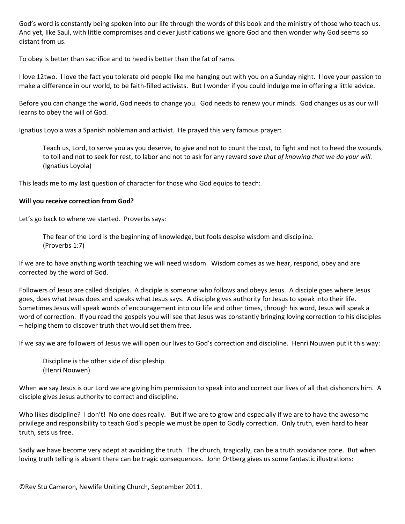God's word is constantly being spoken into our life through the words of this book and the ministry of those who teach us. And yet, like Saul, with little compromises and clever justifications we ignore God and then wonder why God seems so distant from us.

To obey is better than sacrifice and to heed is better than the fat of rams.

I love 12two. I love the fact you tolerate old people like me hanging out with you on a Sunday night. I love your passion to make a difference in our world, to be faith-filled activists. But I wonder if you could indulge me in offering a little advice.

Before you can change the world, God needs to change you. God needs to renew your minds. God changes us as our will learns to obey the will of God.

Ignatius Loyola was a Spanish nobleman and activist. He prayed this very famous prayer:

Teach us, Lord, to serve you as you deserve, to give and not to count the cost, to fight and not to heed the wounds, to toil and not to seek for rest, to labor and not to ask for any reward *save that of knowing that we do your will.* (Ignatius Loyola)

This leads me to my last question of character for those who God equips to teach:

### **Will you receive correction from God?**

Let's go back to where we started. Proverbs says:

The fear of the Lord is the beginning of knowledge, but fools despise wisdom and discipline. (Proverbs 1:7)

If we are to have anything worth teaching we will need wisdom. Wisdom comes as we hear, respond, obey and are corrected by the word of God.

Followers of Jesus are called disciples. A disciple is someone who follows and obeys Jesus. A disciple goes where Jesus goes, does what Jesus does and speaks what Jesus says. A disciple gives authority for Jesus to speak into their life. Sometimes Jesus will speak words of encouragement into our life and other times, through his word, Jesus will speak a word of correction. If you read the gospels you will see that Jesus was constantly bringing loving correction to his disciples – helping them to discover truth that would set them free.

If we say we are followers of Jesus we will open our lives to God's correction and discipline. Henri Nouwen put it this way:

Discipline is the other side of discipleship. (Henri Nouwen)

When we say Jesus is our Lord we are giving him permission to speak into and correct our lives of all that dishonors him. A disciple gives Jesus authority to correct and discipline.

Who likes discipline? I don't! No one does really. But if we are to grow and especially if we are to have the awesome privilege and responsibility to teach God's people we must be open to Godly correction. Only truth, even hard to hear truth, sets us free.

Sadly we have become very adept at avoiding the truth. The church, tragically, can be a truth avoidance zone. But when loving truth telling is absent there can be tragic consequences. John Ortberg gives us some fantastic illustrations: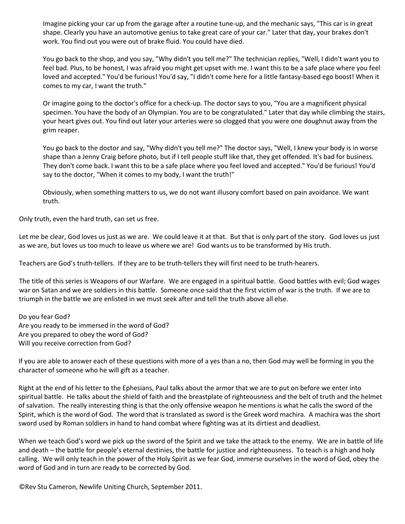Imagine picking your car up from the garage after a routine tune-up, and the mechanic says, "This car is in great shape. Clearly you have an automotive genius to take great care of your car." Later that day, your brakes don't work. You find out you were out of brake fluid. You could have died.

You go back to the shop, and you say, "Why didn't you tell me?" The technician replies, "Well, I didn't want you to feel bad. Plus, to be honest, I was afraid you might get upset with me. I want this to be a safe place where you feel loved and accepted." You'd be furious! You'd say, "I didn't come here for a little fantasy-based ego boost! When it comes to my car, I want the truth."

Or imagine going to the doctor's office for a check-up. The doctor says to you, "You are a magnificent physical specimen. You have the body of an Olympian. You are to be congratulated." Later that day while climbing the stairs, your heart gives out. You find out later your arteries were so clogged that you were one doughnut away from the grim reaper.

You go back to the doctor and say, "Why didn't you tell me?" The doctor says, "Well, I knew your body is in worse shape than a Jenny Craig before photo, but if I tell people stuff like that, they get offended. It's bad for business. They don't come back. I want this to be a safe place where you feel loved and accepted." You'd be furious! You'd say to the doctor, "When it comes to my body, I want the truth!"

Obviously, when something matters to us, we do not want illusory comfort based on pain avoidance. We want truth.

Only truth, even the hard truth, can set us free.

Let me be clear, God loves us just as we are. We could leave it at that. But that is only part of the story. God loves us just as we are, but loves us too much to leave us where we are! God wants us to be transformed by His truth.

Teachers are God's truth-tellers. If they are to be truth-tellers they will first need to be truth-hearers.

The title of this series is Weapons of our Warfare. We are engaged in a spiritual battle. Good battles with evil; God wages war on Satan and we are soldiers in this battle. Someone once said that the first victim of war is the truth. If we are to triumph in the battle we are enlisted in we must seek after and tell the truth above all else.

Do you fear God? Are you ready to be immersed in the word of God? Are you prepared to obey the word of God? Will you receive correction from God?

If you are able to answer each of these questions with more of a yes than a no, then God may well be forming in you the character of someone who he will gift as a teacher.

Right at the end of his letter to the Ephesians, Paul talks about the armor that we are to put on before we enter into spiritual battle. He talks about the shield of faith and the breastplate of righteousness and the belt of truth and the helmet of salvation. The really interesting thing is that the only offensive weapon he mentions is what he calls the sword of the Spirit, which is the word of God. The word that is translated as sword is the Greek word machira. A machira was the short sword used by Roman soldiers in hand to hand combat where fighting was at its dirtiest and deadliest.

When we teach God's word we pick up the sword of the Spirit and we take the attack to the enemy. We are in battle of life and death – the battle for people's eternal destinies, the battle for justice and righteousness. To teach is a high and holy calling. We will only teach in the power of the Holy Spirit as we fear God, immerse ourselves in the word of God, obey the word of God and in turn are ready to be corrected by God.